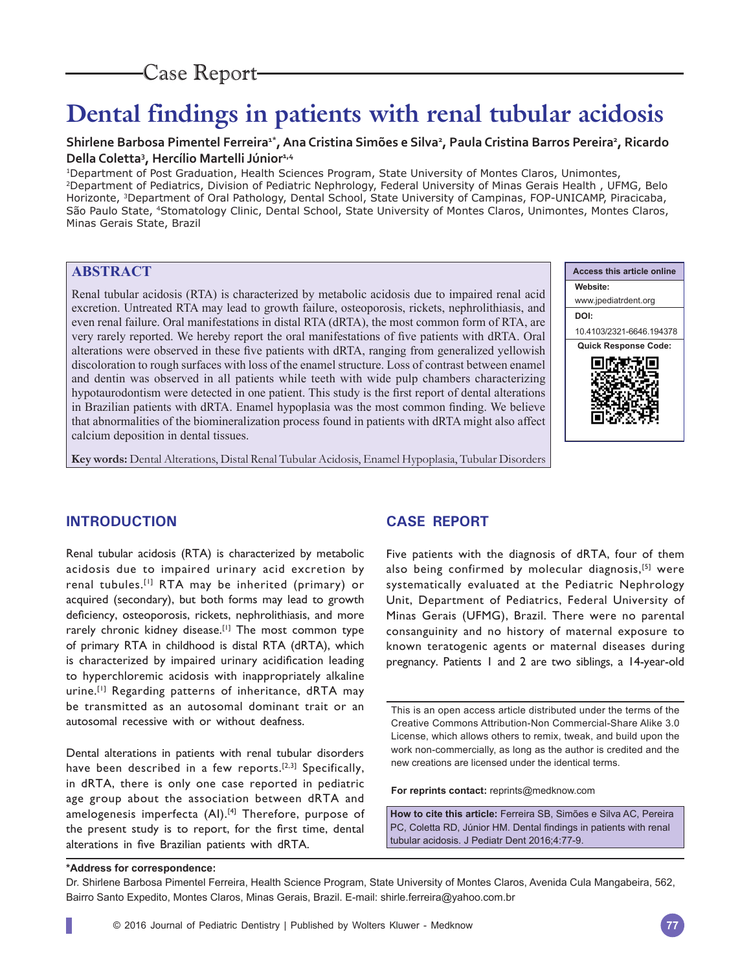## Case Report

# **Dental findings in patients with renal tubular acidosis**

## Shirlene Barbosa Pimentel Ferreira<sup>1\*</sup>, Ana Cristina Simões e Silva<sup>2</sup>, Paula Cristina Barros Pereira<sup>2</sup>, Ricardo **Della Coletta3 , Hercílio Martelli Júnior1,4**

1Department of Post Graduation, Health Sciences Program, State University of Montes Claros, Unimontes, 2Department of Pediatrics, Division of Pediatric Nephrology, Federal University of Minas Gerais Health , UFMG, Belo Horizonte, 3Department of Oral Pathology, Dental School, State University of Campinas, FOP-UNICAMP, Piracicaba, São Paulo State, 4Stomatology Clinic, Dental School, State University of Montes Claros, Unimontes, Montes Claros, Minas Gerais State, Brazil

## **ABSTRACT**

Renal tubular acidosis (RTA) is characterized by metabolic acidosis due to impaired renal acid excretion. Untreated RTA may lead to growth failure, osteoporosis, rickets, nephrolithiasis, and even renal failure. Oral manifestations in distal RTA (dRTA), the most common form of RTA, are very rarely reported. We hereby report the oral manifestations of five patients with dRTA. Oral alterations were observed in these five patients with dRTA, ranging from generalized yellowish discoloration to rough surfaces with loss of the enamel structure. Loss of contrast between enamel and dentin was observed in all patients while teeth with wide pulp chambers characterizing hypotaurodontism were detected in one patient. This study is the first report of dental alterations in Brazilian patients with dRTA. Enamel hypoplasia was the most common finding. We believe that abnormalities of the biomineralization process found in patients with dRTA might also affect calcium deposition in dental tissues.

**Access this article online Website:** www.jpediatrdent.org **DOI:** 10.4103/2321-6646.194378 **Quick Response Code:** п

**Key words:** Dental Alterations, Distal Renal Tubular Acidosis, Enamel Hypoplasia, Tubular Disorders

## **INTRODUCTION**

Renal tubular acidosis (RTA) is characterized by metabolic acidosis due to impaired urinary acid excretion by renal tubules.[1] RTA may be inherited (primary) or acquired (secondary), but both forms may lead to growth deficiency, osteoporosis, rickets, nephrolithiasis, and more rarely chronic kidney disease.<sup>[1]</sup> The most common type of primary RTA in childhood is distal RTA (dRTA), which is characterized by impaired urinary acidification leading to hyperchloremic acidosis with inappropriately alkaline urine.<sup>[1]</sup> Regarding patterns of inheritance, dRTA may be transmitted as an autosomal dominant trait or an autosomal recessive with or without deafness.

Dental alterations in patients with renal tubular disorders have been described in a few reports.<sup>[2,3]</sup> Specifically, in dRTA, there is only one case reported in pediatric age group about the association between dRTA and amelogenesis imperfecta (AI).<sup>[4]</sup> Therefore, purpose of the present study is to report, for the first time, dental alterations in five Brazilian patients with dRTA.

## **CASE REPORT**

Five patients with the diagnosis of dRTA, four of them also being confirmed by molecular diagnosis,<sup>[5]</sup> were systematically evaluated at the Pediatric Nephrology Unit, Department of Pediatrics, Federal University of Minas Gerais (UFMG), Brazil. There were no parental consanguinity and no history of maternal exposure to known teratogenic agents or maternal diseases during pregnancy. Patients 1 and 2 are two siblings, a 14-year-old

This is an open access article distributed under the terms of the Creative Commons Attribution-Non Commercial-Share Alike 3.0 License, which allows others to remix, tweak, and build upon the work non-commercially, as long as the author is credited and the new creations are licensed under the identical terms.

**For reprints contact:** reprints@medknow.com

**How to cite this article:** Ferreira SB, Simões e Silva AC, Pereira PC, Coletta RD, Júnior HM. Dental findings in patients with renal tubular acidosis. J Pediatr Dent 2016;4:77-9.

**\*Address for correspondence:**

Dr. Shirlene Barbosa Pimentel Ferreira, Health Science Program, State University of Montes Claros, Avenida Cula Mangabeira, 562, Bairro Santo Expedito, Montes Claros, Minas Gerais, Brazil. E-mail: shirle.ferreira@yahoo.com.br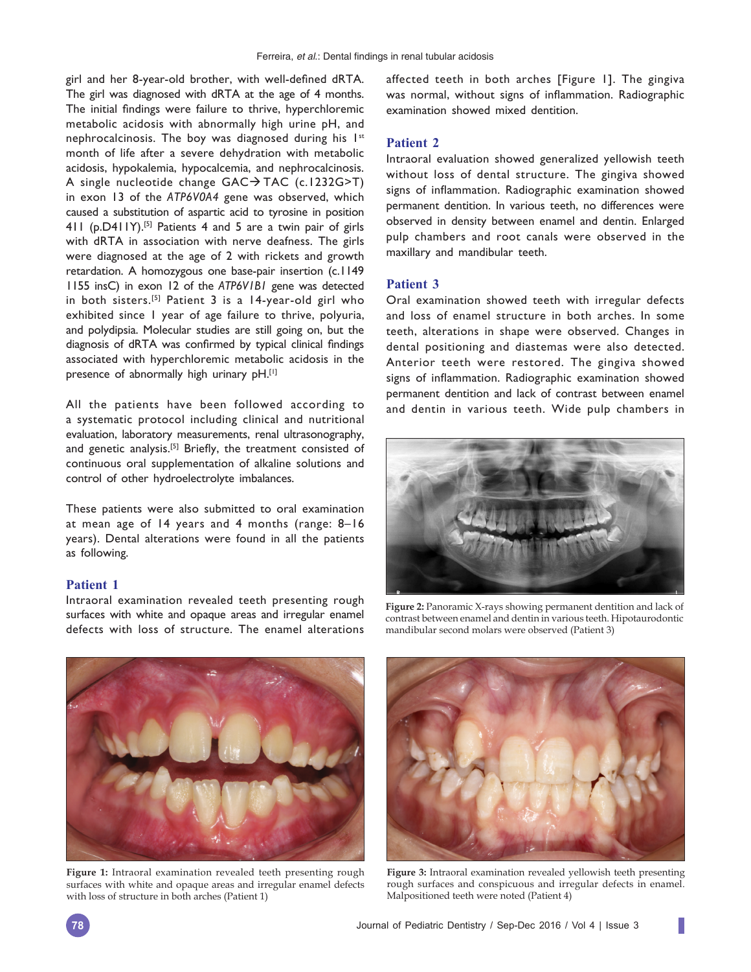girl and her 8-year-old brother, with well-defined dRTA. The girl was diagnosed with dRTA at the age of 4 months. The initial findings were failure to thrive, hyperchloremic metabolic acidosis with abnormally high urine pH, and nephrocalcinosis. The boy was diagnosed during his  $1^{st}$ month of life after a severe dehydration with metabolic acidosis, hypokalemia, hypocalcemia, and nephrocalcinosis. A single nucleotide change  $GAC \rightarrow TAC$  (c.1232G>T) in exon 13 of the *ATP6V0A4* gene was observed, which caused a substitution of aspartic acid to tyrosine in position 411 (p.D411Y).[5] Patients 4 and 5 are a twin pair of girls with dRTA in association with nerve deafness. The girls were diagnosed at the age of 2 with rickets and growth retardation. A homozygous one base-pair insertion (c.1149 1155 insC) in exon 12 of the *ATP6V1B1* gene was detected in both sisters.[5] Patient 3 is a 14-year-old girl who exhibited since 1 year of age failure to thrive, polyuria, and polydipsia. Molecular studies are still going on, but the diagnosis of dRTA was confirmed by typical clinical findings associated with hyperchloremic metabolic acidosis in the presence of abnormally high urinary pH.[1]

All the patients have been followed according to a systematic protocol including clinical and nutritional evaluation, laboratory measurements, renal ultrasonography, and genetic analysis.<sup>[5]</sup> Briefly, the treatment consisted of continuous oral supplementation of alkaline solutions and control of other hydroelectrolyte imbalances.

These patients were also submitted to oral examination at mean age of 14 years and 4 months (range: 8–16 years). Dental alterations were found in all the patients as following.

#### **Patient 1**

Intraoral examination revealed teeth presenting rough surfaces with white and opaque areas and irregular enamel defects with loss of structure. The enamel alterations

affected teeth in both arches [Figure 1]. The gingiva was normal, without signs of inflammation. Radiographic examination showed mixed dentition.

#### **Patient 2**

Intraoral evaluation showed generalized yellowish teeth without loss of dental structure. The gingiva showed signs of inflammation. Radiographic examination showed permanent dentition. In various teeth, no differences were observed in density between enamel and dentin. Enlarged pulp chambers and root canals were observed in the maxillary and mandibular teeth.

#### **Patient 3**

Oral examination showed teeth with irregular defects and loss of enamel structure in both arches. In some teeth, alterations in shape were observed. Changes in dental positioning and diastemas were also detected. Anterior teeth were restored. The gingiva showed signs of inflammation. Radiographic examination showed permanent dentition and lack of contrast between enamel and dentin in various teeth. Wide pulp chambers in



**Figure 2:** Panoramic X-rays showing permanent dentition and lack of contrast between enamel and dentin in various teeth. Hipotaurodontic mandibular second molars were observed (Patient 3)



**Figure 1:** Intraoral examination revealed teeth presenting rough surfaces with white and opaque areas and irregular enamel defects with loss of structure in both arches (Patient 1)



**Figure 3:** Intraoral examination revealed yellowish teeth presenting rough surfaces and conspicuous and irregular defects in enamel. Malpositioned teeth were noted (Patient 4)